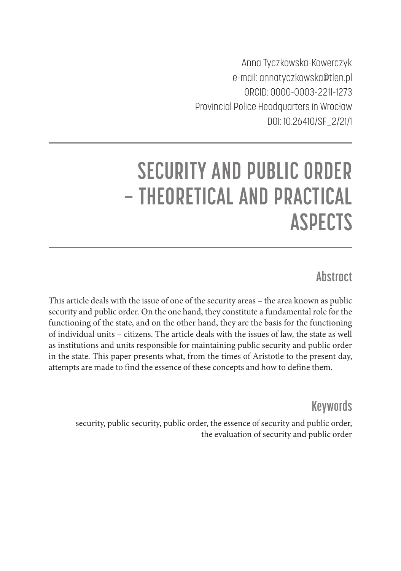Anna Tyczkowska-Kowerczyk e-mail: annatyczkowska@tlen.pl ORCID: 0000-0003-2211-1273 Provincial Police Headquarters in Wrocław DOI: 10.26410/SF\_2/21/1

# **SECURITY AND PUBLIC ORDER – THEORETICAL AND PRACTICAL ASPECTS**

## **Abstract**

This article deals with the issue of one of the security areas – the area known as public security and public order. On the one hand, they constitute a fundamental role for the functioning of the state, and on the other hand, they are the basis for the functioning of individual units – citizens. The article deals with the issues of law, the state as well as institutions and units responsible for maintaining public security and public order in the state. This paper presents what, from the times of Aristotle to the present day, attempts are made to find the essence of these concepts and how to define them.

**Keywords**

security, public security, public order, the essence of security and public order, the evaluation of security and public order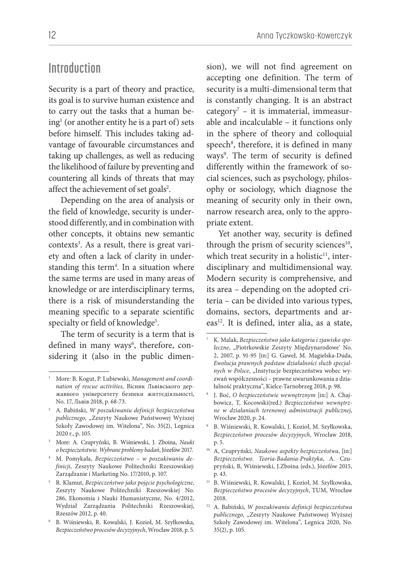#### **Introduction**

Security is a part of theory and practice, its goal is to survive human existence and to carry out the tasks that a human be $ing<sup>1</sup>$  (or another entity he is a part of) sets before himself. This includes taking advantage of favourable circumstances and taking up challenges, as well as reducing the likelihood of failure by preventing and countering all kinds of threats that may affect the achievement of set goals<sup>2</sup>.

Depending on the area of analysis or the field of knowledge, security is understood differently, and in combination with other concepts, it obtains new semantic contexts<sup>3</sup>. As a result, there is great variety and often a lack of clarity in understanding this term<sup>4</sup>. In a situation where the same terms are used in many areas of knowledge or are interdisciplinary terms, there is a risk of misunderstanding the meaning specific to a separate scientific specialty or field of knowledge<sup>5</sup>.

The term of security is a term that is defined in many ways<sup>6</sup>, therefore, considering it (also in the public dimen-

- <sup>3</sup> More: A. Czupryński, B. Wiśniewski, J. Zboina, *Nauki o bezpieczeństwie. Wybrane problemy badań*, Józefów 2017.
- 4 M. Pomykała, *Bezpieczeństwo w poszukiwaniu definicji*, Zeszyty Naukowe Politechniki Rzeszowskiej: Zarządzanie i Marketing No. 17/2010, p. 107.
- 5 R. Klamut, *Bezpieczeństwo jako pojęcie psychologiczne*, Zeszyty Naukowe Politechniki Rzeszowskiej No. 286, Ekonomia i Nauki Humanistyczne, No. 4/2012, Wydział Zarządzania Politechniki Rzeszowskiej, Rzeszów 2012, p. 40.
- 6 B. Wiśniewski, R. Kowalski, J. Kozioł, M. Szyłkowska, *Bezpieczeństwo procesów decyzyjnych*, Wrocław 2018, p. 5.

sion), we will not find agreement on accepting one definition. The term of security is a multi-dimensional term that is constantly changing. It is an abstract category7 – it is immaterial, immeasurable and incalculable – it functions only in the sphere of theory and colloquial speech<sup>8</sup>, therefore, it is defined in many ways<sup>9</sup>. The term of security is defined differently within the framework of social sciences, such as psychology, philosophy or sociology, which diagnose the meaning of security only in their own, narrow research area, only to the appropriate extent.

Yet another way, security is defined through the prism of security sciences<sup>10</sup>, which treat security in a holistic $11$ , interdisciplinary and multidimensional way. Modern security is comprehensive, and its area – depending on the adopted criteria – can be divided into various types, domains, sectors, departments and ar $eas<sup>12</sup>$ . It is defined, inter alia, as a state,

11 B. Wiśniewski, R. Kowalski, J. Kozioł, M. Szyłkowska, *Bezpieczeństwo procesów decyzyjnych*, TUM, Wrocław 2018.

<sup>1</sup> More: B. Kogut, P. Lubiewski, *Management and coordination of rescue activities,* Вісник Львівського державного університету безпеки життєдіяльності, No. 17, Львів 2018, p. 68-73.

<sup>2</sup> A. Babiński, *W poszukiwaniu definicji bezpieczeństwa publicznego*, "Zeszyty Naukowe Państwowej Wyższej Szkoły Zawodowej im. Witelona", No. 35(2), Legnica 2020 r., p. 105.

<sup>7</sup> K. Malak, *Bezpieczeństwo jako kategoria i zjawisko spo*łeczne, "Piotrkowskie Zeszyty Międzynarodowe' No. 2, 2007, p. 91-95 [in:] G. Gaweł, M. Magielska-Duda, *Ewolucja prawnych podstaw działalności służb specjal*nych w Polsce, "Instytucje bezpieczeństwa wobec wyzwań współczesności – prawne uwarunkowania a działalność praktyczna", Kielce-Tarnobrzeg 2018, p. 98.

<sup>8</sup> J. Boć, *O bezpieczeństwie wewnętrznym* [in:] A. Chajbowicz, T, Kocowski(red.) *Bezpieczeństwo wewnętrzne w działaniach terenowej administracji publicznej*, Wrocław 2020, p. 24.

<sup>9</sup> B. Wiśniewski, R. Kowalski, J. Kozioł, M. Szyłkowska, *Bezpieczeństwo procesów decyzyjnych*, Wrocław 2018, p. 5.

<sup>10</sup> A, Czupryński, *Naukowe aspekty bezpieczeństwa*, [in:] *Bezpieczeństwo. Teoria-Badania-Praktyka*, A. Czupryński, B, Wiśniewski, J.Zboina (eds.), Józefów 2015, p. 43.

<sup>12</sup> A. Babiński, *W poszukiwaniu definicji bezpieczeństwa publicznego*, "Zeszyty Naukowe Państwowej Wyższej Szkoły Zawodowej im. Witelona", Legnica 2020, No. 35(2) , p. 105.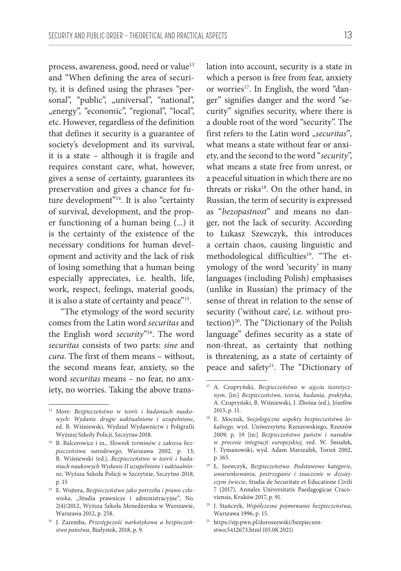process, awareness, good, need or value<sup>13</sup> and "When defining the area of security, it is defined using the phrases "personal", "public", "universal", "national", "energy", "economic", "regional", "local", etc. However, regardless of the definition that defines it security is a guarantee of society's development and its survival, it is a state – although it is fragile and requires constant care, what, however, gives a sense of certainty, guarantees its preservation and gives a chance for future development"14. It is also "certainty of survival, development, and the proper functioning of a human being (...) it is the certainty of the existence of the necessary conditions for human development and activity and the lack of risk of losing something that a human being especially appreciates, i.e. health, life, work, respect, feelings, material goods, it is also a state of certainty and peace"15.

"The etymology of the word security comes from the Latin word *securitas* and the English word *security*"16. The word *securitas* consists of two parts: *sine* and *cura*. The first of them means – without, the second means fear, anxiety, so the word *securitas* means – no fear, no anxiety, no worries. Taking the above translation into account, security is a state in which a person is free from fear, anxiety or worries<sup>17</sup>. In English, the word "danger" signifies danger and the word "security" signifies security, where there is a double root of the word "security". The first refers to the Latin word "securitas", what means a state without fear or anxiety, and the second to the word "*security*", what means a state free from unrest, or a peaceful situation in which there are no threats or risks<sup>18</sup>. On the other hand, in Russian, the term of security is expressed as "*bezopastnost*" and means no danger, not the lack of security. According to Łukasz Szewczyk, this introduces a certain chaos, causing linguistic and methodological difficulties<sup>19</sup>. "The etymology of the word 'security' in many languages (including Polish) emphasises (unlike in Russian) the primacy of the sense of threat in relation to the sense of security ('without care', i.e. without protection)20. The "Dictionary of the Polish language" defines security as a state of non-threat, as certainty that nothing is threatening, as a state of certainty of peace and safety<sup>21</sup>. The "Dictionary of

<sup>13</sup> More: *Bezpieczeństwo w teorii i badaniach naukowych: Wydanie drugie uaktualnione i uzupełnione*, ed. B. Wiśniewski, Wydział Wydawnictw i Poligrafii Wyższej Szkoły Policji, Szczytno 2018.

<sup>14</sup> B. Balcerowicz i in., *Słownik terminów z zakresu bezpieczeństwa narodowego*, Warszawa 2002, p. 13; B. Wiśniewski (ed.), *Bezpieczeństwo w teorii i badaniach naukowych Wydanie II uzupełnione i uaktualnione*, Wyższa Szkoła Policji w Szczytnie, Szczytno 2018, p. 15

<sup>15</sup> E. Wojtera, *Bezpieczeństwo jako potrzeba i prawo czło*wieka, "Studia prawnicze i administracyjne", No. 2(4)/2012, Wyższa Szkoła Menedżerska w Warszawie, Warszawa 2012, p. 258.

<sup>16</sup> J. Zaremba, *Przestępczość narkotykowa a bezpieczeństwo państwa,* Białystok, 2018, p. 9.

<sup>17</sup> A. Czupryński, *Bezpieczeństwo w ujęciu teoretycznym*, [in:] *Bezpieczeństwo, teoria, badania, praktyka*, A. Czupryński, B. Wiśniewski, J. Zboina (ed.), Józefów 2015, p. 11.

<sup>18</sup> E. Moczuk, *Socjologiczne aspekty bezpieczeństwa lokalnego*, wyd. Uniwersytetu Rzeszowskiego, Rzeszów 2009, p. 19 [in:] *Bezpieczeństwo państw i narodów w procesie integracji europejskiej*, red. W. Śmiałek, J. Tymanowski, wyd. Adam Marszałek, Toruń 2002, p. 165.

<sup>19</sup> Ł. Szewczyk, *Bezpieczeństwo. Podstawowe kategorie, uwarunkowania, postrzeganie i znaczenie w dzisiejszym świecie*, Studia de Securitate et Educatione Civili 7 (2017), Annales Universitatis Paedagogicae Cracoviensis, Kraków 2017, p. 91.

<sup>20</sup> J. Stańczyk, *Współczesne pojmowanie bezpieczeństwa*, Warszawa 1996, p. 15.

<sup>21</sup> https://sjp.pwn.pl/doroszewski/bezpieczenstwo;5412673.html (05.08.2021)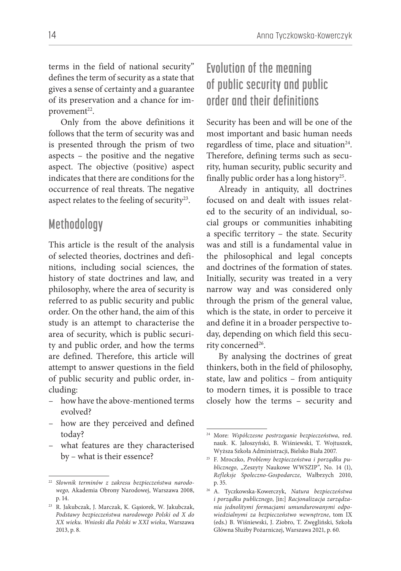terms in the field of national security" defines the term of security as a state that gives a sense of certainty and a guarantee of its preservation and a chance for improvement<sup>22</sup>.

Only from the above definitions it follows that the term of security was and is presented through the prism of two aspects – the positive and the negative aspect. The objective (positive) aspect indicates that there are conditions for the occurrence of real threats. The negative aspect relates to the feeling of security<sup>23</sup>.

#### **Methodology**

This article is the result of the analysis of selected theories, doctrines and definitions, including social sciences, the history of state doctrines and law, and philosophy, where the area of security is referred to as public security and public order. On the other hand, the aim of this study is an attempt to characterise the area of security, which is public security and public order, and how the terms are defined. Therefore, this article will attempt to answer questions in the field of public security and public order, including:

- how have the above-mentioned terms evolved?
- how are they perceived and defined today?
- what features are they characterised by – what is their essence?

# **Evolution of the meaning of public security and public order and their definitions**

Security has been and will be one of the most important and basic human needs regardless of time, place and situation<sup>24</sup>. Therefore, defining terms such as security, human security, public security and finally public order has a long history<sup>25</sup>.

Already in antiquity, all doctrines focused on and dealt with issues related to the security of an individual, social groups or communities inhabiting a specific territory – the state. Security was and still is a fundamental value in the philosophical and legal concepts and doctrines of the formation of states. Initially, security was treated in a very narrow way and was considered only through the prism of the general value, which is the state, in order to perceive it and define it in a broader perspective today, depending on which field this security concerned<sup>26</sup>.

By analysing the doctrines of great thinkers, both in the field of philosophy, state, law and politics – from antiquity to modern times, it is possible to trace closely how the terms – security and

<sup>22</sup> *Słownik terminów z zakresu bezpieczeństwa narodowego,* Akademia Obrony Narodowej, Warszawa 2008, p. 14.

<sup>23</sup> R. Jakubczak, J. Marczak, K. Gąsiorek, W. Jakubczak, *Podstawy bezpieczeństwa narodowego Polski od X do XX wieku. Wnioski dla Polski w XXI wieku*, Warszawa 2013, p. 8.

<sup>24</sup> More: *Współczesne postrzeganie bezpieczeństwa*, red. nauk. K. Jałoszyński, B. Wiśniewski, T. Wojtuszek, Wyższa Szkoła Administracji, Bielsko Biała 2007.

<sup>25</sup> F. Mroczko, *Problemy bezpieczeństwa i porządku pu*blicznego, "Zeszyty Naukowe WWSZIP", No. 14 (1), *Refleksje Społeczno-Gospodarcze*, Wałbrzych 2010, p. 35.

<sup>26</sup> A. Tyczkowska-Kowerczyk, *Natura bezpieczeństwa i porządku publicznego*, [in:] *Racjonalizacja zarządzania jednolitymi formacjami umundurowanymi odpowiedzialnymi za bezpieczeństwo wewnętrzne*, tom IX (eds.) B. Wiśniewski, J. Ziobro, T. Zwęgliński, Szkoła Główna Służby Pożarniczej, Warszawa 2021, p. 60.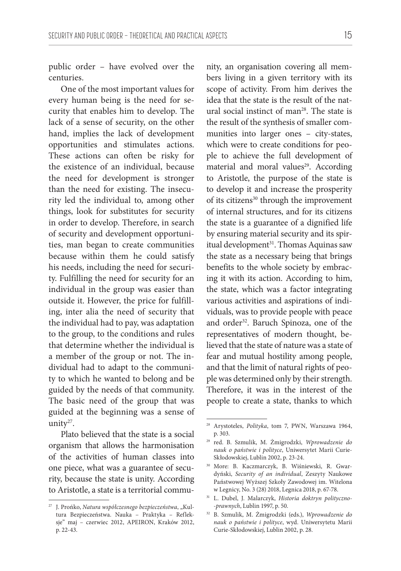public order – have evolved over the centuries.

One of the most important values for every human being is the need for security that enables him to develop. The lack of a sense of security, on the other hand, implies the lack of development opportunities and stimulates actions. These actions can often be risky for the existence of an individual, because the need for development is stronger than the need for existing. The insecurity led the individual to, among other things, look for substitutes for security in order to develop. Therefore, in search of security and development opportunities, man began to create communities because within them he could satisfy his needs, including the need for security. Fulfilling the need for security for an individual in the group was easier than outside it. However, the price for fulfilling, inter alia the need of security that the individual had to pay, was adaptation to the group, to the conditions and rules that determine whether the individual is a member of the group or not. The individual had to adapt to the community to which he wanted to belong and be guided by the needs of that community. The basic need of the group that was guided at the beginning was a sense of unity $27$ .

Plato believed that the state is a social organism that allows the harmonisation of the activities of human classes into one piece, what was a guarantee of security, because the state is unity. According to Aristotle, a state is a territorial community, an organisation covering all members living in a given territory with its scope of activity. From him derives the idea that the state is the result of the natural social instinct of man<sup>28</sup>. The state is the result of the synthesis of smaller communities into larger ones – city-states, which were to create conditions for people to achieve the full development of material and moral values<sup>29</sup>. According to Aristotle, the purpose of the state is to develop it and increase the prosperity of its citizens<sup>30</sup> through the improvement of internal structures, and for its citizens the state is a guarantee of a dignified life by ensuring material security and its spiritual development<sup>31</sup>. Thomas Aquinas saw the state as a necessary being that brings benefits to the whole society by embracing it with its action. According to him, the state, which was a factor integrating various activities and aspirations of individuals, was to provide people with peace and order<sup>32</sup>. Baruch Spinoza, one of the representatives of modern thought, believed that the state of nature was a state of fear and mutual hostility among people, and that the limit of natural rights of people was determined only by their strength. Therefore, it was in the interest of the people to create a state, thanks to which

<sup>&</sup>lt;sup>27</sup> J. Prońko, Natura współczesnego bezpieczeństwa, "Kultura Bezpieczeństwa. Nauka – Praktyka – Refleksje" maj – czerwiec 2012, APEIRON, Kraków 2012, p. 22-43.

<sup>28</sup> Arystoteles, *Polityka*, tom 7, PWN, Warszawa 1964, p. 303.

<sup>29</sup> red. B. Szmulik, M. Żmigrodzki, *Wprowadzenie do nauk o państwie i polityce*, Uniwersytet Marii Curie-Skłodowskiej, Lublin 2002, p. 23-24.

<sup>30</sup> More: B. Kaczmarczyk, B. Wiśniewski, R. Gwardyński, *Security of an individual*, Zeszyty Naukowe Państwowej Wyższej Szkoły Zawodowej im. Witelona w Legnicy, No. 3 (28) 2018, Legnica 2018, p. 67-78.

<sup>31</sup> L. Dubel, J. Malarczyk, *Historia doktryn polityczno -prawnych*, Lublin 1997, p. 50.

<sup>32</sup> B. Szmulik, M. Żmigrodzki (eds.), *Wprowadzenie do nauk o państwie i polityce*, wyd. Uniwersytetu Marii Curie-Skłodowskiej, Lublin 2002, p. 28.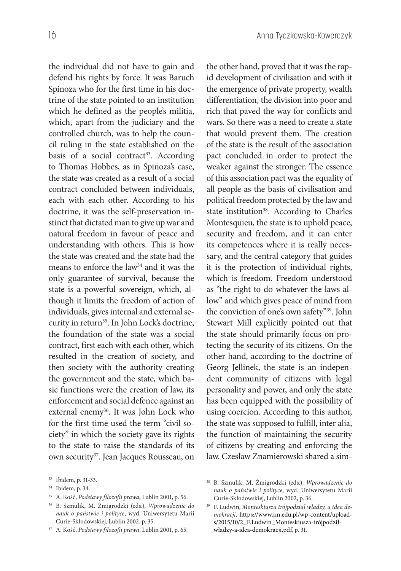the individual did not have to gain and defend his rights by force. It was Baruch Spinoza who for the first time in his doctrine of the state pointed to an institution which he defined as the people's militia, which, apart from the judiciary and the controlled church, was to help the council ruling in the state established on the basis of a social contract<sup>33</sup>. According to Thomas Hobbes, as in Spinoza's case, the state was created as a result of a social contract concluded between individuals, each with each other. According to his doctrine, it was the self-preservation instinct that dictated man to give up war and natural freedom in favour of peace and understanding with others. This is how the state was created and the state had the means to enforce the law<sup>34</sup> and it was the only guarantee of survival, because the state is a powerful sovereign, which, although it limits the freedom of action of individuals, gives internal and external security in return<sup>35</sup>. In John Lock's doctrine, the foundation of the state was a social contract, first each with each other, which resulted in the creation of society, and then society with the authority creating the government and the state, which basic functions were the creation of law, its enforcement and social defence against an external enemy<sup>36</sup>. It was John Lock who for the first time used the term "civil society" in which the society gave its rights to the state to raise the standards of its own security<sup>37</sup>. Jean Jacques Rousseau, on the other hand, proved that it was the rapid development of civilisation and with it the emergence of private property, wealth differentiation, the division into poor and rich that paved the way for conflicts and wars. So there was a need to create a state that would prevent them. The creation of the state is the result of the association pact concluded in order to protect the weaker against the stronger. The essence of this association pact was the equality of all people as the basis of civilisation and political freedom protected by the law and state institution<sup>38</sup>. According to Charles Montesquieu, the state is to uphold peace, security and freedom, and it can enter its competences where it is really necessary, and the central category that guides it is the protection of individual rights, which is freedom. Freedom understood as "the right to do whatever the laws allow" and which gives peace of mind from the conviction of one's own safety"39. John Stewart Mill explicitly pointed out that the state should primarily focus on protecting the security of its citizens. On the other hand, according to the doctrine of Georg Jellinek, the state is an independent community of citizens with legal personality and power, and only the state has been equipped with the possibility of using coercion. According to this author, the state was supposed to fulfill, inter alia, the function of maintaining the security of citizens by creating and enforcing the law. Czesław Znamierowski shared a sim-

<sup>33</sup> Ibidem, p. 31-33.

<sup>34</sup> Ibidem, p. 34.

<sup>35</sup> A. Kość, *Podstawy filozofii prawa*, Lublin 2001, p. 56.

<sup>36</sup> B. Szmulik, M. Żmigrodzki (eds.), *Wprowadzenie do nauk o państwie i polityce*, wyd. Uniwersytetu Marii Curie-Skłodowskiej, Lublin 2002, p. 35.

<sup>37</sup> A. Kość, *Podstawy filozofii prawa*, Lublin 2001, p. 65.

<sup>38</sup> B. Szmulik, M. Żmigrodzki (eds.), *Wprowadzenie do nauk o państwie i polityce*, wyd. Uniwersytetu Marii Curie-Skłodowskiej, Lublin 2002, p. 36.

<sup>39</sup> F. Ludwin, *Monteskiusza trójpodział władzy, a idea demokracji,* https://www.im.edu.pl/wp-content/uploads/2015/10/2\_F.Ludwin\_Monteskiusza-trójpodziłwładzy-a-idea-demokracji.pdf, p. 31.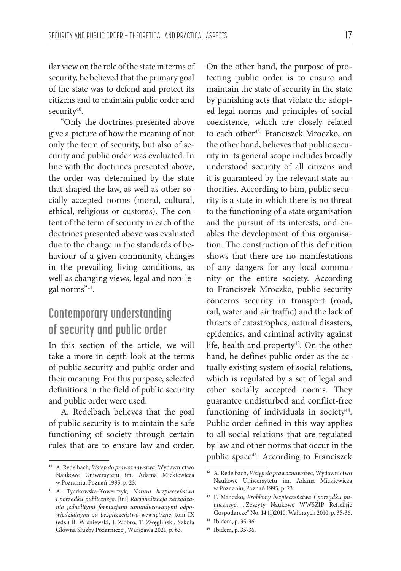ilar view on the role of the state in terms of security, he believed that the primary goal of the state was to defend and protect its citizens and to maintain public order and security<sup>40</sup>.

"Only the doctrines presented above give a picture of how the meaning of not only the term of security, but also of security and public order was evaluated. In line with the doctrines presented above, the order was determined by the state that shaped the law, as well as other socially accepted norms (moral, cultural, ethical, religious or customs). The content of the term of security in each of the doctrines presented above was evaluated due to the change in the standards of behaviour of a given community, changes in the prevailing living conditions, as well as changing views, legal and non-legal norms"41.

# **Contemporary understanding of security and public order**

In this section of the article, we will take a more in-depth look at the terms of public security and public order and their meaning. For this purpose, selected definitions in the field of public security and public order were used.

A. Redelbach believes that the goal of public security is to maintain the safe functioning of society through certain rules that are to ensure law and order.

On the other hand, the purpose of protecting public order is to ensure and maintain the state of security in the state by punishing acts that violate the adopted legal norms and principles of social coexistence, which are closely related to each other<sup>42</sup>. Franciszek Mroczko, on the other hand, believes that public security in its general scope includes broadly understood security of all citizens and it is guaranteed by the relevant state authorities. According to him, public security is a state in which there is no threat to the functioning of a state organisation and the pursuit of its interests, and enables the development of this organisation. The construction of this definition shows that there are no manifestations of any dangers for any local community or the entire society. According to Franciszek Mroczko, public security concerns security in transport (road, rail, water and air traffic) and the lack of threats of catastrophes, natural disasters, epidemics, and criminal activity against life, health and property<sup>43</sup>. On the other hand, he defines public order as the actually existing system of social relations, which is regulated by a set of legal and other socially accepted norms. They guarantee undisturbed and conflict-free functioning of individuals in society $44$ . Public order defined in this way applies to all social relations that are regulated by law and other norms that occur in the public space45. According to Franciszek

<sup>40</sup> A. Redelbach, *Wstęp do prawoznawstwa*, Wydawnictwo Naukowe Uniwersytetu im. Adama Mickiewicza w Poznaniu, Poznań 1995, p. 23.

<sup>41</sup> A. Tyczkowska-Kowerczyk, *Natura bezpieczeństwa i porządku publicznego*, [in:] *Racjonalizacja zarządzania jednolitymi formacjami umundurowanymi odpowiedzialnymi za bezpieczeństwo wewnętrzne*, tom IX (eds.) B. Wiśniewski, J. Ziobro, T. Zwęgliński, Szkoła Główna Służby Pożarniczej, Warszawa 2021, p. 63.

<sup>42</sup> A. Redelbach, *Wstęp do prawoznawstwa*, Wydawnictwo Naukowe Uniwersytetu im. Adama Mickiewicza w Poznaniu, Poznań 1995, p. 23.

<sup>43</sup> F. Mroczko, *Problemy bezpieczeństwa i porządku publicznego*, "Zeszyty Naukowe WWSZIP Refleksje Gospodarcze" No. 14 (1)2010, Wałbrzych 2010, p. 35-36. 44 Ibidem, p. 35-36.

<sup>45</sup> Ibidem, p. 35-36.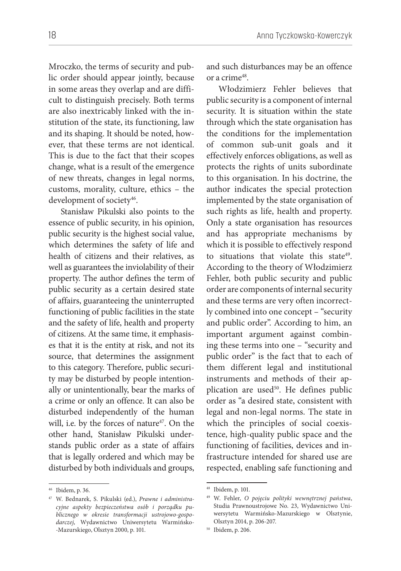Mroczko, the terms of security and public order should appear jointly, because in some areas they overlap and are difficult to distinguish precisely. Both terms are also inextricably linked with the institution of the state, its functioning, law and its shaping. It should be noted, however, that these terms are not identical. This is due to the fact that their scopes change, what is a result of the emergence of new threats, changes in legal norms, customs, morality, culture, ethics – the development of society<sup>46</sup>.

Stanisław Pikulski also points to the essence of public security, in his opinion, public security is the highest social value, which determines the safety of life and health of citizens and their relatives, as well as guarantees the inviolability of their property. The author defines the term of public security as a certain desired state of affairs, guaranteeing the uninterrupted functioning of public facilities in the state and the safety of life, health and property of citizens. At the same time, it emphasises that it is the entity at risk, and not its source, that determines the assignment to this category. Therefore, public security may be disturbed by people intentionally or unintentionally, bear the marks of a crime or only an offence. It can also be disturbed independently of the human will, i.e. by the forces of nature<sup>47</sup>. On the other hand, Stanisław Pikulski understands public order as a state of affairs that is legally ordered and which may be disturbed by both individuals and groups,

and such disturbances may be an offence or a crime48.

Włodzimierz Fehler believes that public security is a component of internal security. It is situation within the state through which the state organisation has the conditions for the implementation of common sub-unit goals and it effectively enforces obligations, as well as protects the rights of units subordinate to this organisation. In his doctrine, the author indicates the special protection implemented by the state organisation of such rights as life, health and property. Only a state organisation has resources and has appropriate mechanisms by which it is possible to effectively respond to situations that violate this state $49$ . According to the theory of Włodzimierz Fehler, both public security and public order are components of internal security and these terms are very often incorrectly combined into one concept – "security and public order". According to him, an important argument against combining these terms into one – "security and public order" is the fact that to each of them different legal and institutional instruments and methods of their application are used<sup>50</sup>. He defines public order as "a desired state, consistent with legal and non-legal norms. The state in which the principles of social coexistence, high-quality public space and the functioning of facilities, devices and infrastructure intended for shared use are respected, enabling safe functioning and

<sup>46</sup> Ibidem, p. 36.

<sup>47</sup> W. Bednarek, S. Pikulski (ed.), *Prawne i administracyjne aspekty bezpieczeństwa osób i porządku publicznego w okresie transformacji ustrojowo-gospodarczej*, Wydawnictwo Uniwersytetu Warmińsko- -Mazurskiego, Olsztyn 2000, p. 101.

<sup>48</sup> Ibidem, p. 101.

<sup>49</sup> W. Fehler, *O pojęciu polityki wewnętrznej państwa*, Studia Prawnoustrojowe No. 23, Wydawnictwo Uniwersytetu Warmińsko-Mazurskiego w Olsztynie, Olsztyn 2014, p. 206-207.

<sup>50</sup> Ibidem, p. 206.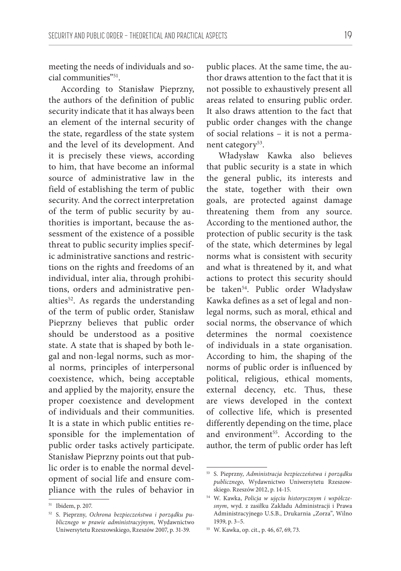meeting the needs of individuals and social communities"51.

According to Stanisław Pieprzny, the authors of the definition of public security indicate that it has always been an element of the internal security of the state, regardless of the state system and the level of its development. And it is precisely these views, according to him, that have become an informal source of administrative law in the field of establishing the term of public security. And the correct interpretation of the term of public security by authorities is important, because the assessment of the existence of a possible threat to public security implies specific administrative sanctions and restrictions on the rights and freedoms of an individual, inter alia, through prohibitions, orders and administrative penalties<sup>52</sup>. As regards the understanding of the term of public order, Stanisław Pieprzny believes that public order should be understood as a positive state. A state that is shaped by both legal and non-legal norms, such as moral norms, principles of interpersonal coexistence, which, being acceptable and applied by the majority, ensure the proper coexistence and development of individuals and their communities. It is a state in which public entities responsible for the implementation of public order tasks actively participate. Stanisław Pieprzny points out that public order is to enable the normal development of social life and ensure compliance with the rules of behavior in

public places. At the same time, the author draws attention to the fact that it is not possible to exhaustively present all areas related to ensuring public order. It also draws attention to the fact that public order changes with the change of social relations – it is not a permanent category<sup>53</sup>.

Władysław Kawka also believes that public security is a state in which the general public, its interests and the state, together with their own goals, are protected against damage threatening them from any source. According to the mentioned author, the protection of public security is the task of the state, which determines by legal norms what is consistent with security and what is threatened by it, and what actions to protect this security should be taken<sup>54</sup>. Public order Władysław Kawka defines as a set of legal and nonlegal norms, such as moral, ethical and social norms, the observance of which determines the normal coexistence of individuals in a state organisation. According to him, the shaping of the norms of public order is influenced by political, religious, ethical moments, external decency, etc. Thus, these are views developed in the context of collective life, which is presented differently depending on the time, place and environment<sup>55</sup>. According to the author, the term of public order has left

<sup>51</sup> Ibidem, p. 207.

<sup>52</sup> S. Pieprzny, *Ochrona bezpieczeństwa i porządku publicznego w prawie administracyjnym*, Wydawnictwo Uniwersytetu Rzeszowskiego, Rzeszów 2007, p. 31-39.

<sup>53</sup> S. Pieprzny, *Administracja bezpieczeństwa i porządku publicznego*, Wydawnictwo Uniwersytetu Rzeszowskiego. Rzeszów 2012, p. 14-15.

<sup>54</sup> W. Kawka, *Policja w ujęciu historycznym i współczesnym*, wyd. z zasiłku Zakładu Administracji i Prawa Administracyjnego U.S.B., Drukarnia "Zorza", Wilno 1939, p. 3–5.

<sup>55</sup> W. Kawka, op. cit., p. 46, 67, 69, 73.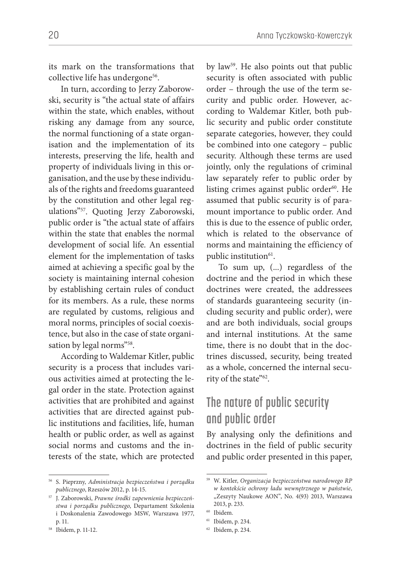its mark on the transformations that collective life has undergone<sup>56</sup>.

In turn, according to Jerzy Zaborowski, security is "the actual state of affairs within the state, which enables, without risking any damage from any source, the normal functioning of a state organisation and the implementation of its interests, preserving the life, health and property of individuals living in this organisation, and the use by these individuals of the rights and freedoms guaranteed by the constitution and other legal regulations"57. Quoting Jerzy Zaborowski, public order is "the actual state of affairs within the state that enables the normal development of social life. An essential element for the implementation of tasks aimed at achieving a specific goal by the society is maintaining internal cohesion by establishing certain rules of conduct for its members. As a rule, these norms are regulated by customs, religious and moral norms, principles of social coexistence, but also in the case of state organisation by legal norms"<sup>58</sup>.

According to Waldemar Kitler, public security is a process that includes various activities aimed at protecting the legal order in the state. Protection against activities that are prohibited and against activities that are directed against public institutions and facilities, life, human health or public order, as well as against social norms and customs and the interests of the state, which are protected

by law59. He also points out that public security is often associated with public order – through the use of the term security and public order. However, according to Waldemar Kitler, both public security and public order constitute separate categories, however, they could be combined into one category – public security. Although these terms are used jointly, only the regulations of criminal law separately refer to public order by listing crimes against public order $60$ . He assumed that public security is of paramount importance to public order. And this is due to the essence of public order, which is related to the observance of norms and maintaining the efficiency of public institution<sup>61</sup>.

To sum up, (...) regardless of the doctrine and the period in which these doctrines were created, the addressees of standards guaranteeing security (including security and public order), were and are both individuals, social groups and internal institutions. At the same time, there is no doubt that in the doctrines discussed, security, being treated as a whole, concerned the internal security of the state"<sup>62</sup>.

# **The nature of public security and public order**

By analysing only the definitions and doctrines in the field of public security and public order presented in this paper,

<sup>56</sup> S. Pieprzny, *Administracja bezpieczeństwa i porządku publicznego*, Rzeszów 2012, p. 14-15.

<sup>57</sup> J. Zaborowski, *Prawne środki zapewnienia bezpieczeństwa i porządku publicznego*, Departament Szkolenia i Doskonalenia Zawodowego MSW, Warszawa 1977, p. 11.

<sup>58</sup> Ibidem, p. 11-12.

<sup>59</sup> W. Kitler, *Organizacja bezpieczeństwa narodowego RP w kontekście ochrony ładu wewnętrznego w państwie*, "Zeszyty Naukowe AON", No. 4(93) 2013, Warszawa 2013, p. 233.

<sup>60</sup> Ibidem.

<sup>61</sup> Ibidem, p. 234.

<sup>62</sup> Ibidem, p. 234.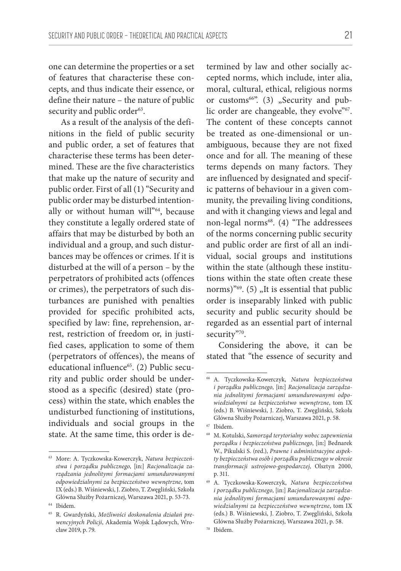one can determine the properties or a set of features that characterise these concepts, and thus indicate their essence, or define their nature – the nature of public security and public order<sup>63</sup>.

As a result of the analysis of the definitions in the field of public security and public order, a set of features that characterise these terms has been determined. These are the five characteristics that make up the nature of security and public order. First of all (1) "Security and public order may be disturbed intentionally or without human will"<sup>64</sup>, because they constitute a legally ordered state of affairs that may be disturbed by both an individual and a group, and such disturbances may be offences or crimes. If it is disturbed at the will of a person – by the perpetrators of prohibited acts (offences or crimes), the perpetrators of such disturbances are punished with penalties provided for specific prohibited acts, specified by law: fine, reprehension, arrest, restriction of freedom or, in justified cases, application to some of them (perpetrators of offences), the means of educational influence<sup>65</sup>. (2) Public security and public order should be understood as a specific (desired) state (process) within the state, which enables the undisturbed functioning of institutions, individuals and social groups in the state. At the same time, this order is determined by law and other socially accepted norms, which include, inter alia, moral, cultural, ethical, religious norms or customs<sup>66"</sup>. (3) "Security and public order are changeable, they evolve"67. The content of these concepts cannot be treated as one-dimensional or unambiguous, because they are not fixed once and for all. The meaning of these terms depends on many factors. They are influenced by designated and specific patterns of behaviour in a given community, the prevailing living conditions, and with it changing views and legal and non-legal norms<sup>68</sup>. (4) "The addressees of the norms concerning public security and public order are first of all an individual, social groups and institutions within the state (although these institutions within the state often create these norms)<sup>"69</sup>. (5)  $n$ It is essential that public order is inseparably linked with public security and public security should be regarded as an essential part of internal security"70.

Considering the above, it can be stated that "the essence of security and

<sup>63</sup> More: A. Tyczkowska-Kowerczyk, *Natura bezpieczeństwa i porządku publicznego*, [in:] *Racjonalizacja zarządzania jednolitymi formacjami umundurowanymi odpowiedzialnymi za bezpieczeństwo wewnętrzne*, tom IX (eds.) B. Wiśniewski, J. Ziobro, T. Zwęgliński, Szkoła Główna Służby Pożarniczej, Warszawa 2021, p. 53-73.

<sup>64</sup> Ibidem.

<sup>65</sup> R. Gwardyński, *Możliwości doskonalenia działań prewencyjnych Policji*, Akademia Wojsk Lądowych, Wrocław 2019, p. 79.

<sup>66</sup> A. Tyczkowska-Kowerczyk, *Natura bezpieczeństwa i porządku publicznego*, [in:] *Racjonalizacja zarządzania jednolitymi formacjami umundurowanymi odpowiedzialnymi za bezpieczeństwo wewnętrzne*, tom IX (eds.) B. Wiśniewski, J. Ziobro, T. Zwęgliński, Szkoła Główna Służby Pożarniczej, Warszawa 2021, p. 58.

<sup>67</sup> Ibidem.

<sup>68</sup> M. Kotulski, *Samorząd terytorialny wobec zapewnienia porządku i bezpieczeństwa publicznego*, [in:] Bednarek W., Pikulski S. (red.), *Prawne i administracyjne aspekty bezpieczeństwa osób i porządku publicznego w okresie transformacji ustrojowo-gospodarczej*, Olsztyn 2000, p. 311.

<sup>69</sup> A. Tyczkowska-Kowerczyk, *Natura bezpieczeństwa i porządku publicznego*, [in:] *Racjonalizacja zarządzania jednolitymi formacjami umundurowanymi odpowiedzialnymi za bezpieczeństwo wewnętrzne*, tom IX (eds.) B. Wiśniewski, J. Ziobro, T. Zwęgliński, Szkoła Główna Służby Pożarniczej, Warszawa 2021, p. 58.

<sup>70</sup> Ibidem.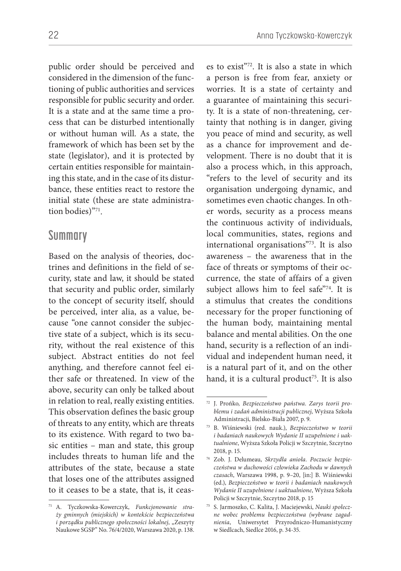public order should be perceived and considered in the dimension of the functioning of public authorities and services responsible for public security and order. It is a state and at the same time a process that can be disturbed intentionally or without human will. As a state, the framework of which has been set by the state (legislator), and it is protected by certain entities responsible for maintaining this state, and in the case of its disturbance, these entities react to restore the initial state (these are state administration bodies)"71.

#### **Summary**

Based on the analysis of theories, doctrines and definitions in the field of security, state and law, it should be stated that security and public order, similarly to the concept of security itself, should be perceived, inter alia, as a value, because "one cannot consider the subjective state of a subject, which is its security, without the real existence of this subject. Abstract entities do not feel anything, and therefore cannot feel either safe or threatened. In view of the above, security can only be talked about in relation to real, really existing entities. This observation defines the basic group of threats to any entity, which are threats to its existence. With regard to two basic entities – man and state, this group includes threats to human life and the attributes of the state, because a state that loses one of the attributes assigned to it ceases to be a state, that is, it ceases to exist"72. It is also a state in which a person is free from fear, anxiety or worries. It is a state of certainty and a guarantee of maintaining this security. It is a state of non-threatening, certainty that nothing is in danger, giving you peace of mind and security, as well as a chance for improvement and development. There is no doubt that it is also a process which, in this approach, "refers to the level of security and its organisation undergoing dynamic, and sometimes even chaotic changes. In other words, security as a process means the continuous activity of individuals, local communities, states, regions and international organisations"73. It is also awareness – the awareness that in the face of threats or symptoms of their occurrence, the state of affairs of a given subject allows him to feel safe"<sup>74</sup>. It is a stimulus that creates the conditions necessary for the proper functioning of the human body, maintaining mental balance and mental abilities. On the one hand, security is a reflection of an individual and independent human need, it is a natural part of it, and on the other hand, it is a cultural product<sup>75</sup>. It is also

<sup>71</sup> A. Tyczkowska-Kowerczyk, *Funkcjonowanie straży gminnych (miejskich) w kontekście bezpieczeństwa i porządku publicznego społeczności lokalnej*, "Zeszyty Naukowe SGSP" No. 76/4/2020, Warszawa 2020, p. 138.

<sup>72</sup> J. Prońko*, Bezpieczeństwo państwa. Zarys teorii problemu i zadań administracji publicznej*, Wyższa Szkoła Administracji, Bielsko-Biała 2007, p. 9.

<sup>73</sup> B. Wiśniewski (red. nauk.), *Bezpieczeństwo w teorii i badaniach naukowych Wydanie II uzupełnione i uaktualnione*, Wyższa Szkoła Policji w Szczytnie, Szczytno 2018, p. 15.

<sup>74</sup> Zob. J. Delumeau, *Skrzydła anioła. Poczucie bezpieczeństwa w duchowości człowieka Zachodu w dawnych czasach*, Warszawa 1998, p. 9–20, [in:] B. Wiśniewski (ed.), *Bezpieczeństwo w teorii i badaniach naukowych Wydanie II uzupełnione i uaktualnione*, Wyższa Szkoła Policji w Szczytnie, Szczytno 2018, p. 15

<sup>75</sup> S. Jarmoszko, C. Kalita, J. Maciejewski, *Nauki społeczne wobec problemu bezpieczeństwa (wybrane zagadnienia*, Uniwersytet Przyrodniczo-Humanistyczny w Siedlcach, Siedlce 2016, p. 34-35.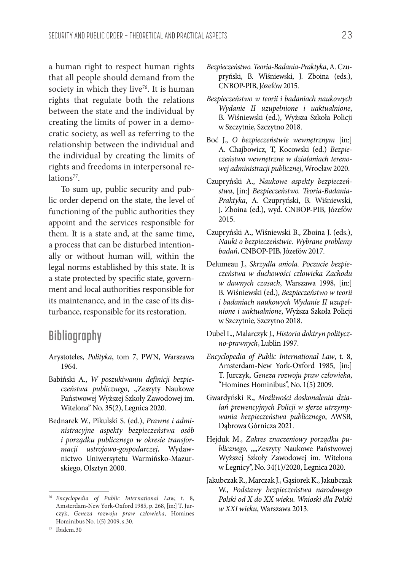a human right to respect human rights that all people should demand from the society in which they live<sup>76</sup>. It is human rights that regulate both the relations between the state and the individual by creating the limits of power in a democratic society, as well as referring to the relationship between the individual and the individual by creating the limits of rights and freedoms in interpersonal relations<sup>77</sup>.

To sum up, public security and public order depend on the state, the level of functioning of the public authorities they appoint and the services responsible for them. It is a state and, at the same time, a process that can be disturbed intentionally or without human will, within the legal norms established by this state. It is a state protected by specific state, government and local authorities responsible for its maintenance, and in the case of its disturbance, responsible for its restoration.

#### **Bibliography**

- Arystoteles, *Polityka*, tom 7, PWN, Warszawa 1964.
- Babiński A., *W poszukiwaniu definicji bezpieczeństwa publicznego*, "Zeszyty Naukowe Państwowej Wyższej Szkoły Zawodowej im. Witelona" No. 35(2), Legnica 2020.
- Bednarek W., Pikulski S. (ed.), *Prawne i administracyjne aspekty bezpieczeństwa osób i porządku publicznego w okresie transformacji ustrojowo-gospodarczej*, Wydawnictwo Uniwersytetu Warmińsko-Mazurskiego, Olsztyn 2000.
- *Bezpieczeństwo w teorii i badaniach naukowych Wydanie II uzupełnione i uaktualnione*, B. Wiśniewski (ed.), Wyższa Szkoła Policji w Szczytnie, Szczytno 2018.
- Boć J., *O bezpieczeństwie wewnętrznym* [in:] A. Chajbowicz, T, Kocowski (ed.) *Bezpieczeństwo wewnętrzne w działaniach terenowej administracji publicznej*, Wrocław 2020.
- Czupryński A., *Naukowe aspekty bezpieczeństwa*, [in:] *Bezpieczeństwo. Teoria-Badania-Praktyka*, A. Czupryński, B. Wiśniewski, J. Zboina (ed.), wyd. CNBOP-PIB, Józefów 2015.
- Czupryński A., Wiśniewski B., Zboina J. (eds.), *Nauki o bezpieczeństwie. Wybrane problemy badań*, CNBOP-PIB, Józefów 2017.
- Delumeau J., *Skrzydła anioła. Poczucie bezpieczeństwa w duchowości człowieka Zachodu w dawnych czasach*, Warszawa 1998, [in:] B. Wiśniewski (ed.), *Bezpieczeństwo w teorii i badaniach naukowych Wydanie II uzupełnione i uaktualnione*, Wyższa Szkoła Policji w Szczytnie, Szczytno 2018.
- Dubel L., Malarczyk J., *Historia doktryn polityczno-prawnych*, Lublin 1997.
- *Encyclopedia of Public International Law*, t. 8, Amsterdam-New York-Oxford 1985, [in:] T. Jurczyk, *Geneza rozwoju praw człowieka*, "Homines Hominibus", No. 1(5) 2009.
- Gwardyński R., *Możliwości doskonalenia działań prewencyjnych Policji w sferze utrzymywania bezpieczeństwa publicznego*, AWSB, Dąbrowa Górnicza 2021.
- Hejduk M., *Zakres znaczeniowy porządku pu*blicznego, ""Zeszyty Naukowe Państwowej Wyższej Szkoły Zawodowej im. Witelona w Legnicy", No. 34(1)/2020, Legnica 2020.
- Jakubczak R., Marczak J., Gąsiorek K., Jakubczak W., *Podstawy bezpieczeństwa narodowego Polski od X do XX wieku. Wnioski dla Polski w XXI wieku*, Warszawa 2013.

<sup>76</sup> *Encyclopedia of Public International Law*, t. 8, Amsterdam-New York-Oxford 1985, p. 268, [in:] T. Jurczyk, *Geneza rozwoju praw człowieka*, Homines Hominibus No. 1(5) 2009, s.30.

*Bezpieczeństwo. Teoria-Badania-Praktyka*, A. Czupryński, B. Wiśniewski, J. Zboina (eds.), CNBOP-PIB, Józefów 2015.

<sup>77</sup> Ibidem.30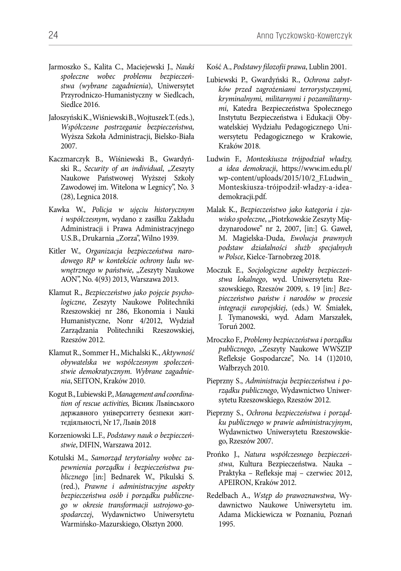- Jarmoszko S., Kalita C., Maciejewski J., *Nauki społeczne wobec problemu bezpieczeństwa (wybrane zagadnienia*), Uniwersytet Przyrodniczo-Humanistyczny w Siedlcach, Siedlce 2016.
- Jałoszyński K., Wiśniewski B., Wojtuszek T. (eds.), *Współczesne postrzeganie bezpieczeństwa,*  Wyższa Szkoła Administracji, Bielsko-Biała 2007.
- Kaczmarczyk B., Wiśniewski B., Gwardyński R., *Security of an individual*, "Zeszyty Naukowe Państwowej Wyższej Szkoły Zawodowej im. Witelona w Legnicy", No. 3 (28), Legnica 2018.
- Kawka W., *Policja w ujęciu historycznym i współczesnym*, wydano z zasiłku Zakładu Administracji i Prawa Administracyjnego U.S.B., Drukarnia "Zorza", Wilno 1939.
- Kitler W., *Organizacja bezpieczeństwa narodowego RP w kontekście ochrony ładu wewnętrznego w państwie*, "Zeszyty Naukowe AON", No. 4(93) 2013, Warszawa 2013.
- Klamut R., *Bezpieczeństwo jako pojęcie psychologiczne*, Zeszyty Naukowe Politechniki Rzeszowskiej nr 286, Ekonomia i Nauki Humanistyczne, Nonr 4/2012, Wydział Zarządzania Politechniki Rzeszowskiej, Rzeszów 2012.
- Klamut R., Sommer H., Michalski K., *Aktywność obywatelska we współczesnym społeczeństwie demokratycznym. Wybrane zagadnienia*, SEITON, Kraków 2010.
- Kogut B., Lubiewski P., *Management and coordination of rescue activities,* Вісник Львівського державного університету безпеки життєдіяльності, Nr 17, Львів 2018
- Korzeniowski L.F., *Podstawy nauk o bezpieczeństwie*, DIFIN, Warszawa 2012.
- Kotulski M., *Samorząd terytorialny wobec zapewnienia porządku i bezpieczeństwa publicznego* [in:] Bednarek W., Pikulski S. (red.), *Prawne i administracyjne aspekty bezpieczeństwa osób i porządku publicznego w okresie transformacji ustrojowo-gospodarczej*, Wydawnictwo Uniwersytetu Warmińsko-Mazurskiego, Olsztyn 2000.

Kość A., *Podstawy filozofii prawa*, Lublin 2001.

- Lubiewski P., Gwardyński R., *Ochrona zabytków przed zagrożeniami terrorystycznymi, kryminalnymi, militarnymi i pozamilitarnymi*, Katedra Bezpieczeństwa Społecznego Instytutu Bezpieczeństwa i Edukacji Obywatelskiej Wydziału Pedagogicznego Uniwersytetu Pedagogicznego w Krakowie, Kraków 2018.
- Ludwin F., *Monteskiusza trójpodział władzy, a idea demokracji*, https://www.im.edu.pl/ wp-content/uploads/2015/10/2\_F.Ludwin\_ Monteskiusza-trójpodził-władzy-a-ideademokracji.pdf.
- Malak K., *Bezpieczeństwo jako kategoria i zjawisko społeczne*, "Piotrkowskie Zeszyty Międzynarodowe" nr 2, 2007, [in:] G. Gaweł, M. Magielska-Duda, *Ewolucja prawnych podstaw działalności służb specjalnych w Polsce*, Kielce-Tarnobrzeg 2018.
- Moczuk E., *Socjologiczne aspekty bezpieczeństwa lokalnego*, wyd. Uniwersytetu Rzeszowskiego, Rzeszów 2009, s. 19 [in:] *Bezpieczeństwo państw i narodów w procesie integracji europejskiej*, (eds.) W. Śmiałek, J. Tymanowski, wyd. Adam Marszałek, Toruń 2002.
- Mroczko F., *Problemy bezpieczeństwa i porządku publicznego*, "Zeszyty Naukowe WWSZIP Refleksje Gospodarcze", No. 14 (1)2010, Wałbrzych 2010.
- Pieprzny S., *Administracja bezpieczeństwa i porządku publicznego*, Wydawnictwo Uniwersytetu Rzeszowskiego, Rzeszów 2012.
- Pieprzny S., *Ochrona bezpieczeństwa i porządku publicznego w prawie administracyjnym*, Wydawnictwo Uniwersytetu Rzeszowskiego, Rzeszów 2007.
- Prońko J., *Natura współczesnego bezpieczeństwa*, Kultura Bezpieczeństwa. Nauka – Praktyka – Refleksje maj – czerwiec 2012, APEIRON, Kraków 2012.
- Redelbach A., *Wstęp do prawoznawstwa*, Wydawnictwo Naukowe Uniwersytetu im. Adama Mickiewicza w Poznaniu, Poznań 1995.